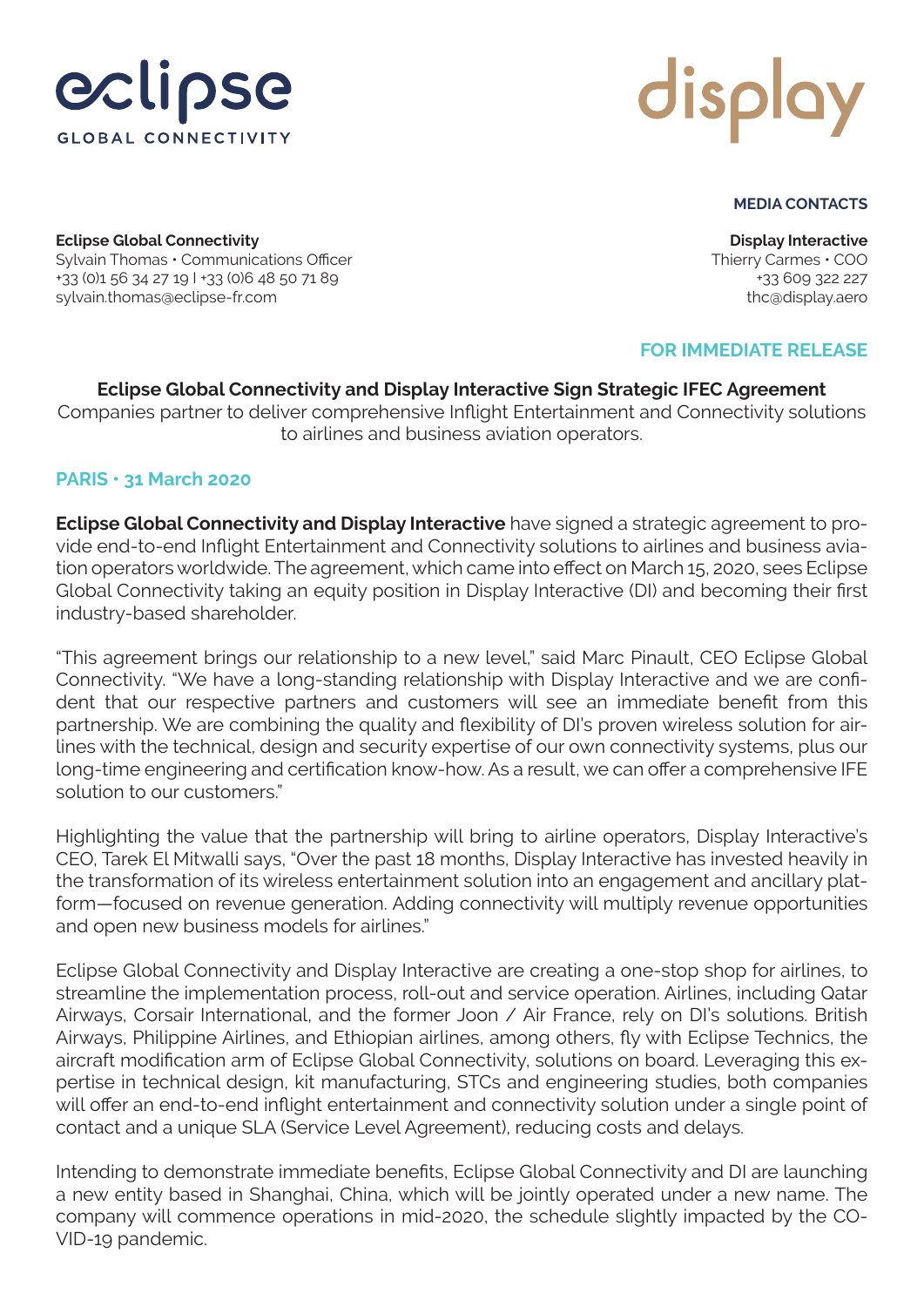



## **MEDIA CONTACTS**

**Eclipse Global Connectivity** Sylvain Thomas • Communications Officer +33 (0)1 56 34 27 19 I +33 (0)6 48 50 71 89 sylvain.thomas@eclipse-fr.com

**Display Interactive** Thierry Carmes • COO +33 609 322 227 thc@display.aero

# **FOR IMMEDIATE RELEASE**

**Eclipse Global Connectivity and Display Interactive Sign Strategic IFEC Agreement** Companies partner to deliver comprehensive Inflight Entertainment and Connectivity solutions to airlines and business aviation operators.

## **PARIS • 31 March 2020**

**Eclipse Global Connectivity and Display Interactive** have signed a strategic agreement to provide end-to-end Inflight Entertainment and Connectivity solutions to airlines and business aviation operators worldwide. The agreement, which came into effect on March 15, 2020, sees Eclipse Global Connectivity taking an equity position in Display Interactive (DI) and becoming their first industry-based shareholder.

"This agreement brings our relationship to a new level," said Marc Pinault, CEO Eclipse Global Connectivity. "We have a long-standing relationship with Display Interactive and we are confident that our respective partners and customers will see an immediate benefit from this partnership. We are combining the quality and flexibility of DI's proven wireless solution for airlines with the technical, design and security expertise of our own connectivity systems, plus our long-time engineering and certification know-how. As a result, we can offer a comprehensive IFE solution to our customers."

Highlighting the value that the partnership will bring to airline operators, Display Interactive's CEO, Tarek El Mitwalli says, "Over the past 18 months, Display Interactive has invested heavily in the transformation of its wireless entertainment solution into an engagement and ancillary platform—focused on revenue generation. Adding connectivity will multiply revenue opportunities and open new business models for airlines."

Eclipse Global Connectivity and Display Interactive are creating a one-stop shop for airlines, to streamline the implementation process, roll-out and service operation. Airlines, including Qatar Airways, Corsair International, and the former Joon / Air France, rely on DI's solutions. British Airways, Philippine Airlines, and Ethiopian airlines, among others, fly with Eclipse Technics, the aircraft modification arm of Eclipse Global Connectivity, solutions on board. Leveraging this expertise in technical design, kit manufacturing, STCs and engineering studies, both companies will offer an end-to-end inflight entertainment and connectivity solution under a single point of contact and a unique SLA (Service Level Agreement), reducing costs and delays.

Intending to demonstrate immediate benefits, Eclipse Global Connectivity and DI are launching a new entity based in Shanghai, China, which will be jointly operated under a new name. The company will commence operations in mid-2020, the schedule slightly impacted by the CO-VID-19 pandemic.